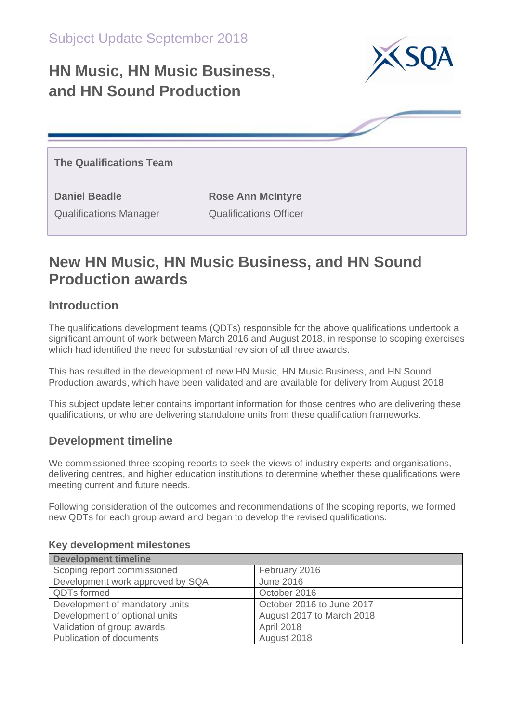# **HN Music, HN Music Business**, **and HN Sound Production**



**The Qualifications Team**

**Daniel Beadle Rose Ann McIntyre** Qualifications Manager Qualifications Officer

## **New HN Music, HN Music Business, and HN Sound Production awards**

## **Introduction**

The qualifications development teams (QDTs) responsible for the above qualifications undertook a significant amount of work between March 2016 and August 2018, in response to scoping exercises which had identified the need for substantial revision of all three awards.

This has resulted in the development of new HN Music, HN Music Business, and HN Sound Production awards, which have been validated and are available for delivery from August 2018.

This subject update letter contains important information for those centres who are delivering these qualifications, or who are delivering standalone units from these qualification frameworks.

### **Development timeline**

We commissioned three scoping reports to seek the views of industry experts and organisations, delivering centres, and higher education institutions to determine whether these qualifications were meeting current and future needs.

Following consideration of the outcomes and recommendations of the scoping reports, we formed new QDTs for each group award and began to develop the revised qualifications.

| <b>Development timeline</b>      |                           |  |  |  |
|----------------------------------|---------------------------|--|--|--|
| Scoping report commissioned      | February 2016             |  |  |  |
| Development work approved by SQA | <b>June 2016</b>          |  |  |  |
| <b>QDTs formed</b>               | October 2016              |  |  |  |
| Development of mandatory units   | October 2016 to June 2017 |  |  |  |
| Development of optional units    | August 2017 to March 2018 |  |  |  |
| Validation of group awards       | April 2018                |  |  |  |
| <b>Publication of documents</b>  | August 2018               |  |  |  |

#### **Key development milestones**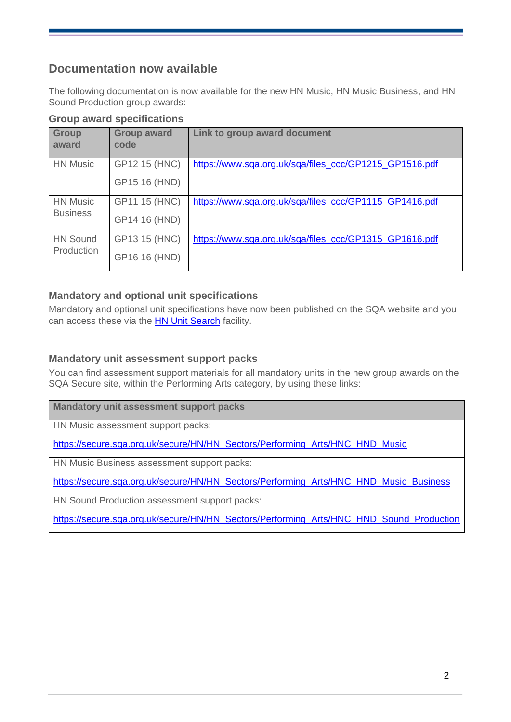### **Documentation now available**

The following documentation is now available for the new HN Music, HN Music Business, and HN Sound Production group awards:

| <b>Group</b><br>award              | <b>Group award</b><br>code     | Link to group award document                           |
|------------------------------------|--------------------------------|--------------------------------------------------------|
| <b>HN Music</b>                    | GP12 15 (HNC)<br>GP15 16 (HND) | https://www.sqa.org.uk/sqa/files_ccc/GP1215_GP1516.pdf |
| <b>HN Music</b><br><b>Business</b> | GP11 15 (HNC)<br>GP14 16 (HND) | https://www.sqa.org.uk/sqa/files_ccc/GP1115_GP1416.pdf |
| <b>HN Sound</b><br>Production      | GP13 15 (HNC)<br>GP16 16 (HND) | https://www.sqa.org.uk/sqa/files_ccc/GP1315_GP1616.pdf |

#### **Mandatory and optional unit specifications**

Mandatory and optional unit specifications have now been published on the SQA website and you can access these via the **HN Unit Search** facility.

#### **Mandatory unit assessment support packs**

You can find assessment support materials for all mandatory units in the new group awards on the SQA Secure site, within the Performing Arts category, by using these links:

**Mandatory unit assessment support packs**

HN Music assessment support packs:

[https://secure.sqa.org.uk/secure/HN/HN\\_Sectors/Performing\\_Arts/HNC\\_HND\\_Music](https://secure.sqa.org.uk/secure/HN/HN_Sectors/Performing_Arts/HNC_HND_Music)

HN Music Business assessment support packs:

[https://secure.sqa.org.uk/secure/HN/HN\\_Sectors/Performing\\_Arts/HNC\\_HND\\_Music\\_Business](https://secure.sqa.org.uk/secure/HN/HN_Sectors/Performing_Arts/HNC_HND_Music_Business)

HN Sound Production assessment support packs:

[https://secure.sqa.org.uk/secure/HN/HN\\_Sectors/Performing\\_Arts/HNC\\_HND\\_Sound\\_Production](https://secure.sqa.org.uk/secure/HN/HN_Sectors/Performing_Arts/HNC_HND_Sound_Production)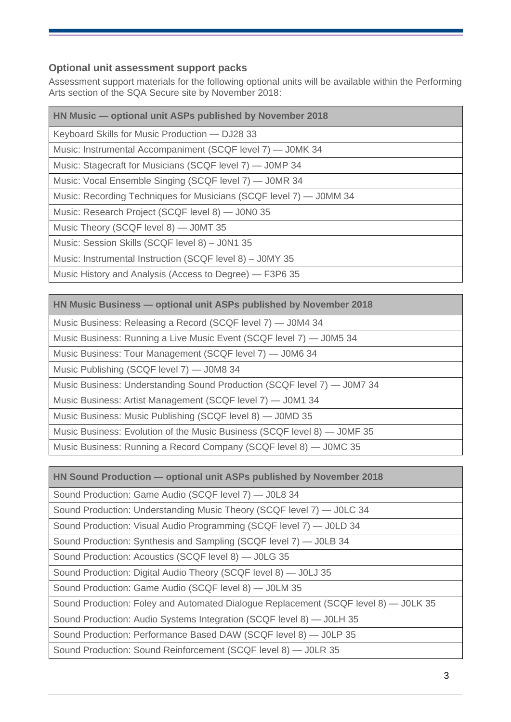#### **Optional unit assessment support packs**

Assessment support materials for the following optional units will be available within the Performing Arts section of the SQA Secure site by November 2018:

| HN Music - optional unit ASPs published by November 2018           |
|--------------------------------------------------------------------|
| Keyboard Skills for Music Production - DJ28 33                     |
| Music: Instrumental Accompaniment (SCQF level 7) — JOMK 34         |
| Music: Stagecraft for Musicians (SCQF level 7) - J0MP 34           |
| Music: Vocal Ensemble Singing (SCQF level 7) — JOMR 34             |
| Music: Recording Techniques for Musicians (SCQF level 7) - J0MM 34 |
| Music: Research Project (SCQF level 8) — J0N0 35                   |
| Music Theory (SCQF level 8) - J0MT 35                              |
| Music: Session Skills (SCQF level 8) - J0N1 35                     |
| Music: Instrumental Instruction (SCQF level 8) - J0MY 35           |
| Music History and Analysis (Access to Degree) — F3P6 35            |

Music Business: Releasing a Record (SCQF level 7) — J0M4 34

Music Business: Running a Live Music Event (SCQF level 7) — J0M5 34

Music Business: Tour Management (SCQF level 7) — J0M6 34

Music Publishing (SCQF level 7) — J0M8 34

Music Business: Understanding Sound Production (SCQF level 7) — J0M7 34

Music Business: Artist Management (SCQF level 7) — J0M1 34

Music Business: Music Publishing (SCQF level 8) — J0MD 35

Music Business: Evolution of the Music Business (SCQF level 8) — J0MF 35

Music Business: Running a Record Company (SCQF level 8) — J0MC 35

**HN Sound Production — optional unit ASPs published by November 2018**

Sound Production: Game Audio (SCQF level 7) — J0L8 34

Sound Production: Understanding Music Theory (SCQF level 7) — J0LC 34

Sound Production: Visual Audio Programming (SCQF level 7) — J0LD 34

Sound Production: Synthesis and Sampling (SCQF level 7) — J0LB 34

Sound Production: Acoustics (SCQF level 8) — J0LG 35

Sound Production: Digital Audio Theory (SCQF level 8) — J0LJ 35

Sound Production: Game Audio (SCQF level 8) — J0LM 35

Sound Production: Foley and Automated Dialogue Replacement (SCQF level 8) — J0LK 35

Sound Production: Audio Systems Integration (SCQF level 8) — J0LH 35

Sound Production: Performance Based DAW (SCQF level 8) — J0LP 35

Sound Production: Sound Reinforcement (SCQF level 8) — J0LR 35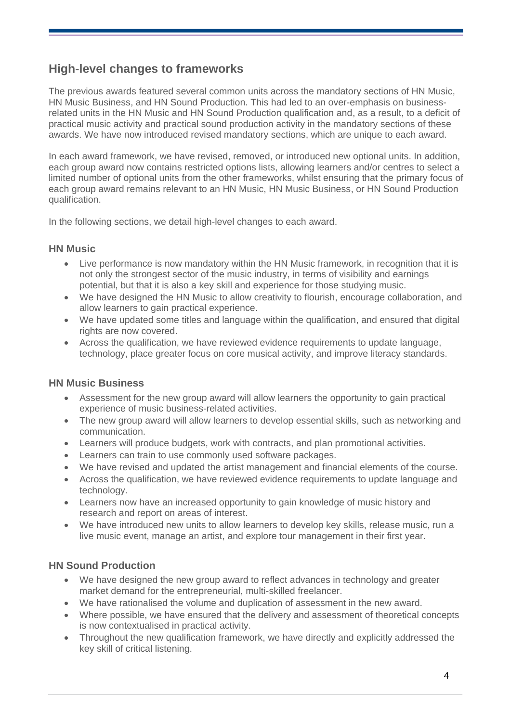## **High-level changes to frameworks**

The previous awards featured several common units across the mandatory sections of HN Music, HN Music Business, and HN Sound Production. This had led to an over-emphasis on businessrelated units in the HN Music and HN Sound Production qualification and, as a result, to a deficit of practical music activity and practical sound production activity in the mandatory sections of these awards. We have now introduced revised mandatory sections, which are unique to each award.

In each award framework, we have revised, removed, or introduced new optional units. In addition, each group award now contains restricted options lists, allowing learners and/or centres to select a limited number of optional units from the other frameworks, whilst ensuring that the primary focus of each group award remains relevant to an HN Music, HN Music Business, or HN Sound Production qualification.

In the following sections, we detail high-level changes to each award.

#### **HN Music**

- Live performance is now mandatory within the HN Music framework, in recognition that it is not only the strongest sector of the music industry, in terms of visibility and earnings potential, but that it is also a key skill and experience for those studying music.
- We have designed the HN Music to allow creativity to flourish, encourage collaboration, and allow learners to gain practical experience.
- We have updated some titles and language within the qualification, and ensured that digital rights are now covered.
- Across the qualification, we have reviewed evidence requirements to update language, technology, place greater focus on core musical activity, and improve literacy standards.

#### **HN Music Business**

- Assessment for the new group award will allow learners the opportunity to gain practical experience of music business-related activities.
- The new group award will allow learners to develop essential skills, such as networking and communication.
- Learners will produce budgets, work with contracts, and plan promotional activities.
- Learners can train to use commonly used software packages.
- We have revised and updated the artist management and financial elements of the course.
- Across the qualification, we have reviewed evidence requirements to update language and technology.
- Learners now have an increased opportunity to gain knowledge of music history and research and report on areas of interest.
- We have introduced new units to allow learners to develop key skills, release music, run a live music event, manage an artist, and explore tour management in their first year.

#### **HN Sound Production**

- We have designed the new group award to reflect advances in technology and greater market demand for the entrepreneurial, multi-skilled freelancer.
- We have rationalised the volume and duplication of assessment in the new award.
- Where possible, we have ensured that the delivery and assessment of theoretical concepts is now contextualised in practical activity.
- Throughout the new qualification framework, we have directly and explicitly addressed the key skill of critical listening.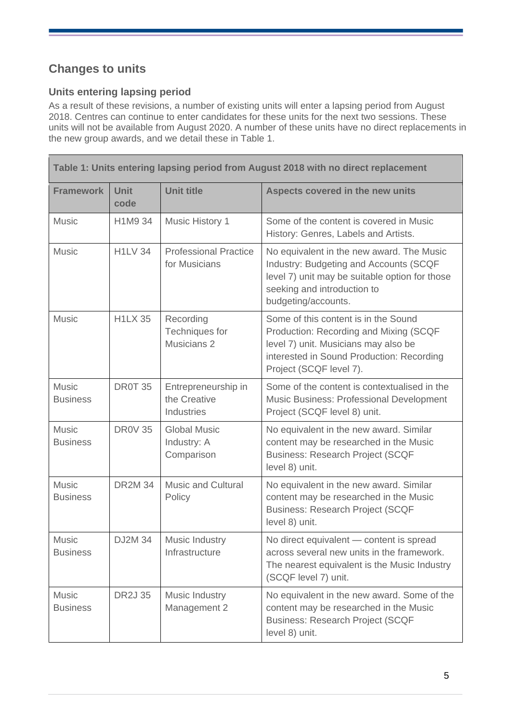## **Changes to units**

#### **Units entering lapsing period**

As a result of these revisions, a number of existing units will enter a lapsing period from August 2018. Centres can continue to enter candidates for these units for the next two sessions. These units will not be available from August 2020. A number of these units have no direct replacements in the new group awards, and we detail these in Table 1.

| Table 1: Units entering lapsing period from August 2018 with no direct replacement |                     |                                                   |                                                                                                                                                                                                |  |
|------------------------------------------------------------------------------------|---------------------|---------------------------------------------------|------------------------------------------------------------------------------------------------------------------------------------------------------------------------------------------------|--|
| <b>Framework</b>                                                                   | <b>Unit</b><br>code | <b>Unit title</b>                                 | Aspects covered in the new units                                                                                                                                                               |  |
| <b>Music</b>                                                                       | H1M9 34             | <b>Music History 1</b>                            | Some of the content is covered in Music<br>History: Genres, Labels and Artists.                                                                                                                |  |
| <b>Music</b>                                                                       | <b>H1LV 34</b>      | <b>Professional Practice</b><br>for Musicians     | No equivalent in the new award. The Music<br>Industry: Budgeting and Accounts (SCQF<br>level 7) unit may be suitable option for those<br>seeking and introduction to<br>budgeting/accounts.    |  |
| <b>Music</b>                                                                       | <b>H1LX 35</b>      | Recording<br>Techniques for<br>Musicians 2        | Some of this content is in the Sound<br>Production: Recording and Mixing (SCQF<br>level 7) unit. Musicians may also be<br>interested in Sound Production: Recording<br>Project (SCQF level 7). |  |
| <b>Music</b><br><b>Business</b>                                                    | <b>DR0T 35</b>      | Entrepreneurship in<br>the Creative<br>Industries | Some of the content is contextualised in the<br>Music Business: Professional Development<br>Project (SCQF level 8) unit.                                                                       |  |
| <b>Music</b><br><b>Business</b>                                                    | <b>DR0V 35</b>      | <b>Global Music</b><br>Industry: A<br>Comparison  | No equivalent in the new award. Similar<br>content may be researched in the Music<br><b>Business: Research Project (SCQF</b><br>level 8) unit.                                                 |  |
| <b>Music</b><br><b>Business</b>                                                    | <b>DR2M 34</b>      | <b>Music and Cultural</b><br>Policy               | No equivalent in the new award. Similar<br>content may be researched in the Music<br><b>Business: Research Project (SCQF</b><br>level 8) unit.                                                 |  |
| <b>Music</b><br><b>Business</b>                                                    | <b>DJ2M 34</b>      | Music Industry<br>Infrastructure                  | No direct equivalent - content is spread<br>across several new units in the framework.<br>The nearest equivalent is the Music Industry<br>(SCQF level 7) unit.                                 |  |
| <b>Music</b><br><b>Business</b>                                                    | <b>DR2J 35</b>      | Music Industry<br>Management 2                    | No equivalent in the new award. Some of the<br>content may be researched in the Music<br><b>Business: Research Project (SCQF</b><br>level 8) unit.                                             |  |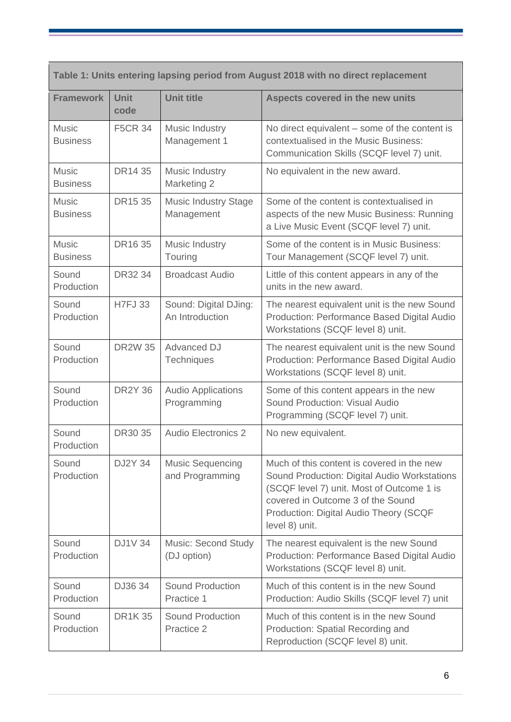| Table 1: Units entering lapsing period from August 2018 with no direct replacement |                     |                                            |                                                                                                                                                                                                                                          |  |
|------------------------------------------------------------------------------------|---------------------|--------------------------------------------|------------------------------------------------------------------------------------------------------------------------------------------------------------------------------------------------------------------------------------------|--|
| <b>Framework</b>                                                                   | <b>Unit</b><br>code | <b>Unit title</b>                          | Aspects covered in the new units                                                                                                                                                                                                         |  |
| <b>Music</b><br><b>Business</b>                                                    | <b>F5CR 34</b>      | Music Industry<br>Management 1             | No direct equivalent – some of the content is<br>contextualised in the Music Business:<br>Communication Skills (SCQF level 7) unit.                                                                                                      |  |
| <b>Music</b><br><b>Business</b>                                                    | DR14 35             | Music Industry<br>Marketing 2              | No equivalent in the new award.                                                                                                                                                                                                          |  |
| <b>Music</b><br><b>Business</b>                                                    | DR15 35             | <b>Music Industry Stage</b><br>Management  | Some of the content is contextualised in<br>aspects of the new Music Business: Running<br>a Live Music Event (SCQF level 7) unit.                                                                                                        |  |
| <b>Music</b><br><b>Business</b>                                                    | DR16 35             | <b>Music Industry</b><br>Touring           | Some of the content is in Music Business:<br>Tour Management (SCQF level 7) unit.                                                                                                                                                        |  |
| Sound<br>Production                                                                | DR32 34             | <b>Broadcast Audio</b>                     | Little of this content appears in any of the<br>units in the new award.                                                                                                                                                                  |  |
| Sound<br>Production                                                                | <b>H7FJ33</b>       | Sound: Digital DJing:<br>An Introduction   | The nearest equivalent unit is the new Sound<br>Production: Performance Based Digital Audio<br>Workstations (SCQF level 8) unit.                                                                                                         |  |
| Sound<br>Production                                                                | <b>DR2W35</b>       | <b>Advanced DJ</b><br>Techniques           | The nearest equivalent unit is the new Sound<br>Production: Performance Based Digital Audio<br>Workstations (SCQF level 8) unit.                                                                                                         |  |
| Sound<br>Production                                                                | <b>DR2Y 36</b>      | <b>Audio Applications</b><br>Programming   | Some of this content appears in the new<br>Sound Production: Visual Audio<br>Programming (SCQF level 7) unit.                                                                                                                            |  |
| Sound<br>Production                                                                | DR30 35             | <b>Audio Electronics 2</b>                 | No new equivalent.                                                                                                                                                                                                                       |  |
| Sound<br>Production                                                                | <b>DJ2Y 34</b>      | <b>Music Sequencing</b><br>and Programming | Much of this content is covered in the new<br>Sound Production: Digital Audio Workstations<br>(SCQF level 7) unit. Most of Outcome 1 is<br>covered in Outcome 3 of the Sound<br>Production: Digital Audio Theory (SCQF<br>level 8) unit. |  |
| Sound<br>Production                                                                | <b>DJ1V34</b>       | <b>Music: Second Study</b><br>(DJ option)  | The nearest equivalent is the new Sound<br>Production: Performance Based Digital Audio<br>Workstations (SCQF level 8) unit.                                                                                                              |  |
| Sound<br>Production                                                                | DJ36 34             | <b>Sound Production</b><br>Practice 1      | Much of this content is in the new Sound<br>Production: Audio Skills (SCQF level 7) unit                                                                                                                                                 |  |
| Sound<br>Production                                                                | <b>DR1K35</b>       | <b>Sound Production</b><br>Practice 2      | Much of this content is in the new Sound<br>Production: Spatial Recording and<br>Reproduction (SCQF level 8) unit.                                                                                                                       |  |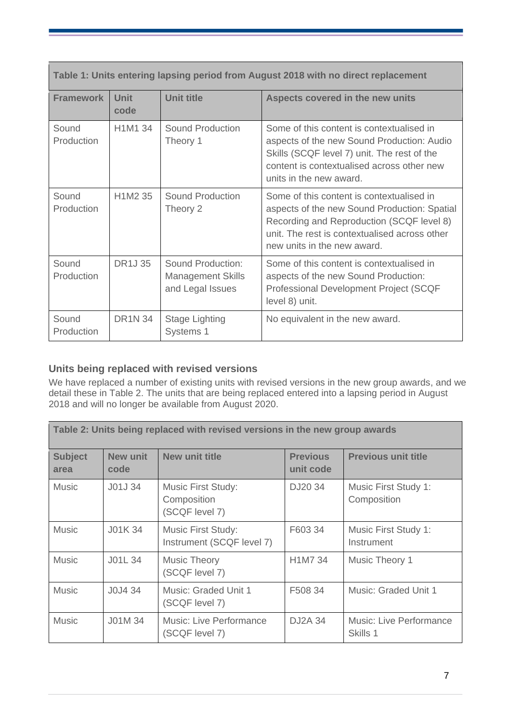| Table 1: Units entering lapsing period from August 2018 with no direct replacement |                                  |                                                                   |                                                                                                                                                                                                                        |  |
|------------------------------------------------------------------------------------|----------------------------------|-------------------------------------------------------------------|------------------------------------------------------------------------------------------------------------------------------------------------------------------------------------------------------------------------|--|
| <b>Framework</b>                                                                   | <b>Unit</b><br>code              | <b>Unit title</b>                                                 | Aspects covered in the new units                                                                                                                                                                                       |  |
| Sound<br>Production                                                                | H1M1 34                          | Sound Production<br>Theory 1                                      | Some of this content is contextualised in<br>aspects of the new Sound Production: Audio<br>Skills (SCQF level 7) unit. The rest of the<br>content is contextualised across other new<br>units in the new award.        |  |
| Sound<br>Production                                                                | H <sub>1</sub> M <sub>2</sub> 35 | Sound Production<br>Theory 2                                      | Some of this content is contextualised in<br>aspects of the new Sound Production: Spatial<br>Recording and Reproduction (SCQF level 8)<br>unit. The rest is contextualised across other<br>new units in the new award. |  |
| Sound<br>Production                                                                | <b>DR1J35</b>                    | Sound Production:<br><b>Management Skills</b><br>and Legal Issues | Some of this content is contextualised in<br>aspects of the new Sound Production:<br><b>Professional Development Project (SCQF</b><br>level 8) unit.                                                                   |  |
| Sound<br>Production                                                                | <b>DR1N 34</b>                   | <b>Stage Lighting</b><br>Systems 1                                | No equivalent in the new award.                                                                                                                                                                                        |  |

#### **Units being replaced with revised versions**

We have replaced a number of existing units with revised versions in the new group awards, and we detail these in Table 2. The units that are being replaced entered into a lapsing period in August 2018 and will no longer be available from August 2020.

| Table 2: Units being replaced with revised versions in the new group awards |                  |                                                            |                              |                                     |
|-----------------------------------------------------------------------------|------------------|------------------------------------------------------------|------------------------------|-------------------------------------|
| <b>Subject</b><br>area                                                      | New unit<br>code | New unit title                                             | <b>Previous</b><br>unit code | <b>Previous unit title</b>          |
| <b>Music</b>                                                                | J01J 34          | <b>Music First Study:</b><br>Composition<br>(SCQF level 7) | DJ20 34                      | Music First Study 1:<br>Composition |
| <b>Music</b>                                                                | J01K 34          | Music First Study:<br>Instrument (SCQF level 7)            | F603 34                      | Music First Study 1:<br>Instrument  |
| <b>Music</b>                                                                | J01L 34          | <b>Music Theory</b><br>(SCQF level 7)                      | H1M7 34                      | Music Theory 1                      |
| <b>Music</b>                                                                | J0J4 34          | Music: Graded Unit 1<br>(SCQF level 7)                     | F508 34                      | Music: Graded Unit 1                |
| <b>Music</b>                                                                | JO1M34           | <b>Music: Live Performance</b><br>(SCQF level 7)           | DJ2A 34                      | Music: Live Performance<br>Skills 1 |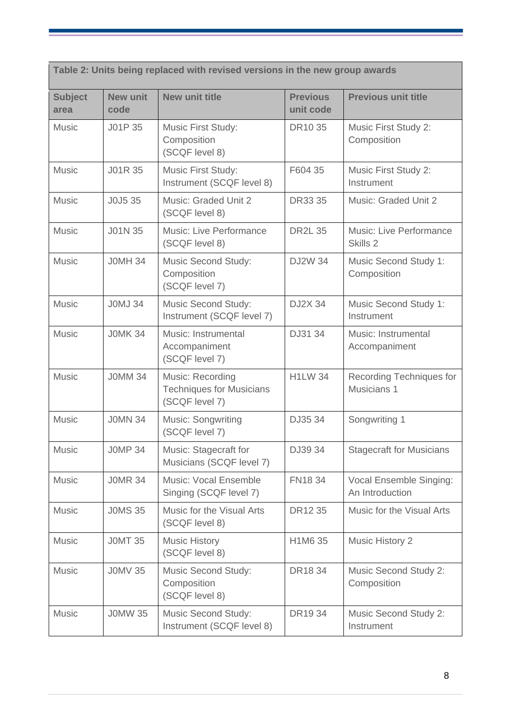**Table 2: Units being replaced with revised versions in the new group awards**

| <b>Subject</b><br>area | <b>New unit</b><br>code | <b>New unit title</b>                                                 | <b>Previous</b><br>unit code | <b>Previous unit title</b>                 |
|------------------------|-------------------------|-----------------------------------------------------------------------|------------------------------|--------------------------------------------|
| <b>Music</b>           | J01P 35                 | Music First Study:<br>Composition<br>(SCQF level 8)                   | DR10 35                      | Music First Study 2:<br>Composition        |
| <b>Music</b>           | J01R 35                 | Music First Study:<br>Instrument (SCQF level 8)                       | F604 35                      | Music First Study 2:<br>Instrument         |
| <b>Music</b>           | J0J5 35                 | Music: Graded Unit 2<br>(SCQF level 8)                                | DR33 35                      | Music: Graded Unit 2                       |
| <b>Music</b>           | J01N 35                 | Music: Live Performance<br>(SCQF level 8)                             | <b>DR2L 35</b>               | Music: Live Performance<br>Skills 2        |
| <b>Music</b>           | <b>JOMH 34</b>          | Music Second Study:<br>Composition<br>(SCQF level 7)                  | <b>DJ2W 34</b>               | Music Second Study 1:<br>Composition       |
| <b>Music</b>           | <b>JOMJ 34</b>          | <b>Music Second Study:</b><br>Instrument (SCQF level 7)               | <b>DJ2X 34</b>               | Music Second Study 1:<br>Instrument        |
| <b>Music</b>           | <b>JOMK 34</b>          | Music: Instrumental<br>Accompaniment<br>(SCQF level 7)                | DJ31 34                      | Music: Instrumental<br>Accompaniment       |
| <b>Music</b>           | <b>JOMM 34</b>          | Music: Recording<br><b>Techniques for Musicians</b><br>(SCQF level 7) | <b>H1LW 34</b>               | Recording Techniques for<br>Musicians 1    |
| <b>Music</b>           | <b>JOMN 34</b>          | Music: Songwriting<br>(SCQF level 7)                                  | DJ35 34                      | Songwriting 1                              |
| <b>Music</b>           | <b>JOMP 34</b>          | Music: Stagecraft for<br>Musicians (SCQF level 7)                     | DJ39 34                      | <b>Stagecraft for Musicians</b>            |
| <b>Music</b>           | <b>JOMR 34</b>          | <b>Music: Vocal Ensemble</b><br>Singing (SCQF level 7)                | FN18 34                      | Vocal Ensemble Singing:<br>An Introduction |
| <b>Music</b>           | <b>J0MS 35</b>          | Music for the Visual Arts<br>(SCQF level 8)                           | DR12 35                      | Music for the Visual Arts                  |
| <b>Music</b>           | <b>JOMT 35</b>          | <b>Music History</b><br>(SCQF level 8)                                | H1M6 35                      | <b>Music History 2</b>                     |
| <b>Music</b>           | <b>J0MV 35</b>          | <b>Music Second Study:</b><br>Composition<br>(SCQF level 8)           | DR18 34                      | Music Second Study 2:<br>Composition       |
| <b>Music</b>           | <b>JOMW 35</b>          | <b>Music Second Study:</b><br>Instrument (SCQF level 8)               | DR1934                       | Music Second Study 2:<br>Instrument        |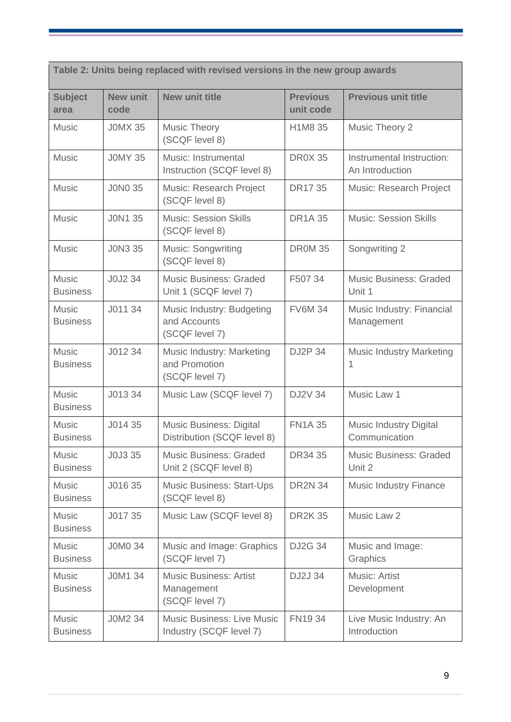**Table 2: Units being replaced with revised versions in the new group awards Subject area New unit code New unit title Previous unit code Previous unit title** Music [J0MX 35](https://www.sqa.org.uk/sqa/files/hn/J0MX35.pdf) Music Theory (SCQF level 8) [H1M8 35](https://www.sqa.org.uk/sqa/files/hn/H1M835.pdf) Music Theory 2 Music [J0MY 35](https://www.sqa.org.uk/sqa/files/hn/J0MY35.pdf) Music: Instrumental Instruction (SCQF level 8) [DR0X 35](https://www.sqa.org.uk/sqa/files/hn/DDR0X35.pdf) | Instrumental Instruction: An Introduction Music [J0N0 35](https://www.sqa.org.uk/sqa/files/hn/J0N035.pdf) Music: Research Project (SCQF level 8) [DR17 35](https://www.sqa.org.uk/sqa/files/hn/DDR1735.pdf) Music: Research Project Music J[J0N1 35](https://www.sqa.org.uk/sqa/files/hn/J0N135.pdf) Music: Session Skills (SCQF level 8) [DR1A 35](https://www.sqa.org.uk/sqa/files/hn/DDR1A35.pdf) Music: Session Skills Music [J0N3 35](https://www.sqa.org.uk/sqa/files/hn/J0N335.pdf) Music: Songwriting (SCQF level 8) [DR0M 35](https://www.sqa.org.uk/sqa/files/hn/DDR0M35.pdf) Songwriting 2 **Music Business** [J0J2 34](https://www.sqa.org.uk/sqa/files/hn/J0J234.pdf) Music Business: Graded Unit 1 (SCQF level 7) [F507 34](https://www.sqa.org.uk/sqa/files/hn/F50734.pdf) Music Business: Graded Unit 1 Music **Business** [J011 34](https://www.sqa.org.uk/sqa/files/hn/J01134.pdf) Music Industry: Budgeting and Accounts (SCQF level 7) [FV6M 34](https://www.sqa.org.uk/files/hn/FV6M34.pdf) Music Industry: Financial Management Music Business [J012 34](https://www.sqa.org.uk/sqa/files/hn/J01234.pdf) Music Industry: Marketing and Promotion (SCQF level 7) [DJ2P 34](https://www.sqa.org.uk/sqa/files/hn/DDJ2P34.pdf) Music Industry Marketing 1 **Music Business** [J013 34](https://www.sqa.org.uk/sqa/files/hn/J01334.pdf) Music Law (SCQF level 7) [DJ2V 34](https://www.sqa.org.uk/sqa/files/hn/DDJ2V34.pdf) Music Law 1 **Music Business** [J014 35](https://www.sqa.org.uk/sqa/files/hn/J01435.pdf) Music Business: Digital Distribution (SCQF level 8) [FN1A 35](https://www.sqa.org.uk/sqa/files/hn/FN1A35.pdf) Music Industry Digital **Communication Music Business** [J0J3 35](https://www.sqa.org.uk/sqa/files/hn/J0J335.pdf) Music Business: Graded Unit 2 (SCQF level 8) [DR34 35](https://www.sqa.org.uk/sqa/files/hn/DR3435.pdf) Music Business: Graded Unit 2 Music **Business** [J016 35](https://www.sqa.org.uk/sqa/files/hn/J01635.pdf) Music Business: Start-Ups (SCQF level 8) [DR2N 34](https://www.sqa.org.uk/files/hn/DDR2N34.pdf) Music Industry Finance **Music Business** [J017 35](https://www.sqa.org.uk/sqa/files/hn/J01735.pdf) Music Law (SCQF level 8) [DR2K 35](https://www.sqa.org.uk/sqa/files/hn/DDR2K35.pdf) Music Law 2 Music **Business** [J0M0 34](https://www.sqa.org.uk/sqa/files/hn/J0M034.pdf) Music and Image: Graphics (SCQF level 7) [DJ2G 34](https://www.sqa.org.uk/sqa/files/hn/DDJ2G34.pdf) Music and Image: **Graphics** Music [J0M1 34](https://www.sqa.org.uk/sqa/files/hn/J0M134.pdf) Music Business: Artist [DJ2J 34](https://www.sqa.org.uk/sqa/files/hn/DJ2J34.pdf) Music: Artist

> Management (SCQF level 7)

[J0M2 34](https://www.sqa.org.uk/sqa/files/hn/J0M234.pdf) Music Business: Live Music

Industry (SCQF level 7)

Business

**Music Business**  **Development** 

[FN19 34](https://www.sqa.org.uk/sqa/files/hn/FN1934.pdf) Live Music Industry: An Introduction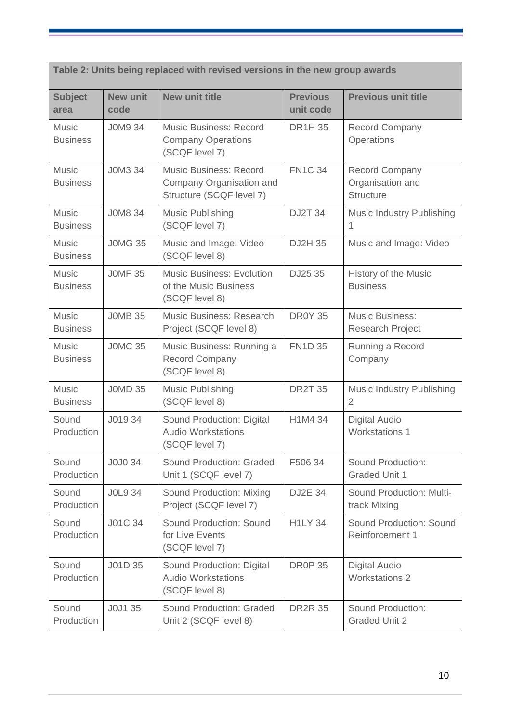| Table 2: Units being replaced with revised versions in the new group awards |                         |                                                                                       |                              |                                                               |
|-----------------------------------------------------------------------------|-------------------------|---------------------------------------------------------------------------------------|------------------------------|---------------------------------------------------------------|
| <b>Subject</b><br>area                                                      | <b>New unit</b><br>code | <b>New unit title</b>                                                                 | <b>Previous</b><br>unit code | <b>Previous unit title</b>                                    |
| <b>Music</b><br><b>Business</b>                                             | <b>JOM9 34</b>          | <b>Music Business: Record</b><br><b>Company Operations</b><br>(SCQF level 7)          | <b>DR1H35</b>                | <b>Record Company</b><br>Operations                           |
| <b>Music</b><br><b>Business</b>                                             | J0M3 34                 | <b>Music Business: Record</b><br>Company Organisation and<br>Structure (SCQF level 7) | <b>FN1C 34</b>               | <b>Record Company</b><br>Organisation and<br><b>Structure</b> |
| <b>Music</b><br><b>Business</b>                                             | <b>J0M8 34</b>          | <b>Music Publishing</b><br>(SCQF level 7)                                             | <b>DJ2T 34</b>               | Music Industry Publishing<br>1                                |
| <b>Music</b><br><b>Business</b>                                             | <b>JOMG 35</b>          | Music and Image: Video<br>(SCQF level 8)                                              | DJ2H 35                      | Music and Image: Video                                        |
| <b>Music</b><br><b>Business</b>                                             | <b>JOMF 35</b>          | <b>Music Business: Evolution</b><br>of the Music Business<br>(SCQF level 8)           | DJ25 35                      | <b>History of the Music</b><br><b>Business</b>                |
| <b>Music</b><br><b>Business</b>                                             | <b>JOMB 35</b>          | Music Business: Research<br>Project (SCQF level 8)                                    | <b>DR0Y 35</b>               | <b>Music Business:</b><br>Research Project                    |
| <b>Music</b><br><b>Business</b>                                             | <b>JOMC 35</b>          | Music Business: Running a<br><b>Record Company</b><br>(SCQF level 8)                  | <b>FN1D 35</b>               | Running a Record<br>Company                                   |
| <b>Music</b><br><b>Business</b>                                             | <b>JOMD 35</b>          | <b>Music Publishing</b><br>(SCQF level 8)                                             | <b>DR2T 35</b>               | <b>Music Industry Publishing</b><br>$\overline{2}$            |
| Sound<br>Production                                                         | J019 34                 | Sound Production: Digital<br><b>Audio Workstations</b><br>(SCQF level 7)              | H1M4 34                      | <b>Digital Audio</b><br><b>Workstations 1</b>                 |
| Sound<br>Production                                                         | J0J0 34                 | Sound Production: Graded<br>Unit 1 (SCQF level 7)                                     | F506 34                      | Sound Production:<br><b>Graded Unit 1</b>                     |
| Sound<br>Production                                                         | <b>JOL9 34</b>          | Sound Production: Mixing<br>Project (SCQF level 7)                                    | <b>DJ2E 34</b>               | <b>Sound Production: Multi-</b><br>track Mixing               |
| Sound<br>Production                                                         | J01C 34                 | Sound Production: Sound<br>for Live Events<br>(SCQF level 7)                          | <b>H1LY 34</b>               | <b>Sound Production: Sound</b><br>Reinforcement 1             |
| Sound<br>Production                                                         | J01D 35                 | Sound Production: Digital<br><b>Audio Workstations</b><br>(SCQF level 8)              | <b>DR0P 35</b>               | <b>Digital Audio</b><br><b>Workstations 2</b>                 |
| Sound<br>Production                                                         | J0J1 35                 | Sound Production: Graded<br>Unit 2 (SCQF level 8)                                     | <b>DR2R 35</b>               | Sound Production:<br><b>Graded Unit 2</b>                     |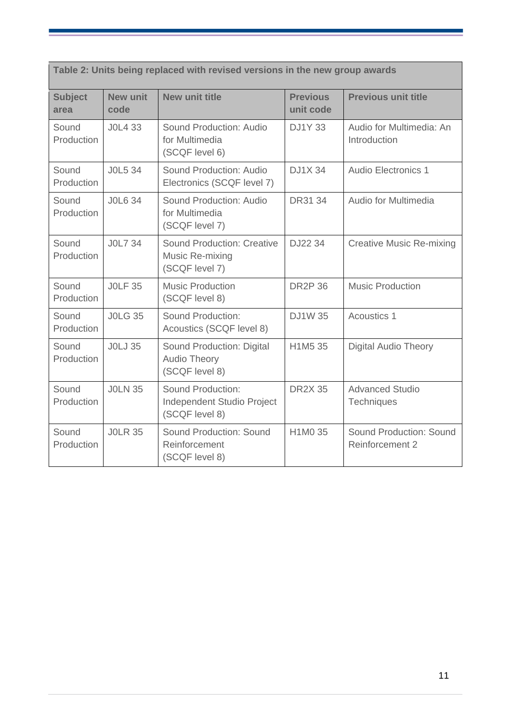| Table 2: Units being replaced with revised versions in the new group awards |                  |                                                                        |                              |                                                   |
|-----------------------------------------------------------------------------|------------------|------------------------------------------------------------------------|------------------------------|---------------------------------------------------|
| <b>Subject</b><br>area                                                      | New unit<br>code | <b>New unit title</b>                                                  | <b>Previous</b><br>unit code | <b>Previous unit title</b>                        |
| Sound<br>Production                                                         | J0L4 33          | Sound Production: Audio<br>for Multimedia<br>(SCQF level 6)            | <b>DJ1Y33</b>                | Audio for Multimedia: An<br>Introduction          |
| Sound<br>Production                                                         | <b>JOL5 34</b>   | Sound Production: Audio<br>Electronics (SCQF level 7)                  | <b>DJ1X34</b>                | Audio Electronics 1                               |
| Sound<br>Production                                                         | <b>JOL6 34</b>   | Sound Production: Audio<br>for Multimedia<br>(SCQF level 7)            | DR31 34                      | Audio for Multimedia                              |
| Sound<br>Production                                                         | <b>JOL7 34</b>   | <b>Sound Production: Creative</b><br>Music Re-mixing<br>(SCQF level 7) | DJ22 34                      | <b>Creative Music Re-mixing</b>                   |
| Sound<br>Production                                                         | <b>JOLF 35</b>   | <b>Music Production</b><br>(SCQF level 8)                              | <b>DR2P 36</b>               | <b>Music Production</b>                           |
| Sound<br>Production                                                         | <b>JOLG 35</b>   | Sound Production:<br>Acoustics (SCQF level 8)                          | <b>DJ1W35</b>                | Acoustics 1                                       |
| Sound<br>Production                                                         | <b>JOLJ 35</b>   | Sound Production: Digital<br><b>Audio Theory</b><br>(SCQF level 8)     | H1M5 35                      | <b>Digital Audio Theory</b>                       |
| Sound<br>Production                                                         | <b>JOLN 35</b>   | Sound Production:<br>Independent Studio Project<br>(SCQF level 8)      | <b>DR2X 35</b>               | <b>Advanced Studio</b><br>Techniques              |
| Sound<br>Production                                                         | <b>JOLR 35</b>   | Sound Production: Sound<br>Reinforcement<br>(SCQF level 8)             | H1M0 35                      | Sound Production: Sound<br><b>Reinforcement 2</b> |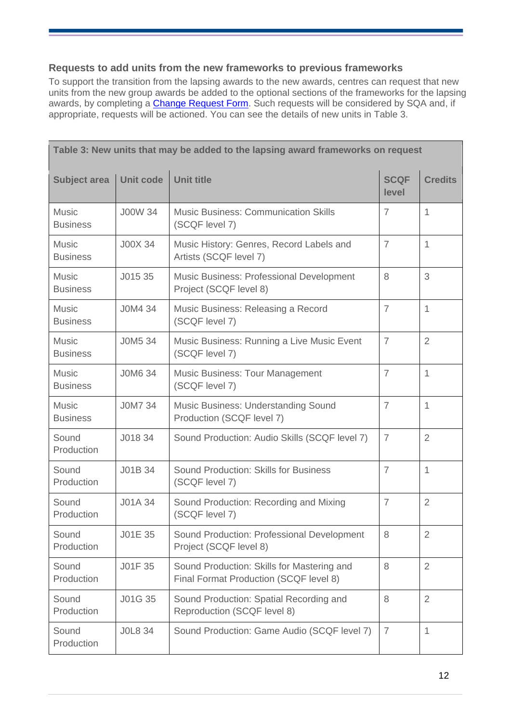#### **Requests to add units from the new frameworks to previous frameworks**

To support the transition from the lapsing awards to the new awards, centres can request that new units from the new group awards be added to the optional sections of the frameworks for the lapsing awards, by completing a **Change Request Form**. Such requests will be considered by SQA and, if appropriate, requests will be actioned. You can see the details of new units in Table 3.

| Table 3: New units that may be added to the lapsing award frameworks on request |                  |                                                                                      |                      |                |  |
|---------------------------------------------------------------------------------|------------------|--------------------------------------------------------------------------------------|----------------------|----------------|--|
| <b>Subject area</b>                                                             | <b>Unit code</b> | <b>Unit title</b>                                                                    | <b>SCQF</b><br>level | <b>Credits</b> |  |
| <b>Music</b><br><b>Business</b>                                                 | <b>J00W 34</b>   | <b>Music Business: Communication Skills</b><br>(SCQF level 7)                        | $\overline{7}$       | $\mathbf{1}$   |  |
| <b>Music</b><br><b>Business</b>                                                 | <b>J00X 34</b>   | Music History: Genres, Record Labels and<br>Artists (SCQF level 7)                   | $\overline{7}$       | 1              |  |
| <b>Music</b><br><b>Business</b>                                                 | J015 35          | Music Business: Professional Development<br>Project (SCQF level 8)                   | 8                    | 3              |  |
| <b>Music</b><br><b>Business</b>                                                 | J0M4 34          | Music Business: Releasing a Record<br>(SCQF level 7)                                 | $\overline{7}$       | $\mathbf{1}$   |  |
| <b>Music</b><br><b>Business</b>                                                 | J0M5 34          | Music Business: Running a Live Music Event<br>(SCQF level 7)                         | $\overline{7}$       | $\overline{2}$ |  |
| <b>Music</b><br><b>Business</b>                                                 | <b>JOM6 34</b>   | <b>Music Business: Tour Management</b><br>(SCQF level 7)                             | $\overline{7}$       | $\mathbf{1}$   |  |
| <b>Music</b><br><b>Business</b>                                                 | <b>JOM7 34</b>   | Music Business: Understanding Sound<br>Production (SCQF level 7)                     | $\overline{7}$       | $\mathbf{1}$   |  |
| Sound<br>Production                                                             | J018 34          | Sound Production: Audio Skills (SCQF level 7)                                        | $\overline{7}$       | $\overline{2}$ |  |
| Sound<br>Production                                                             | J01B 34          | <b>Sound Production: Skills for Business</b><br>(SCQF level 7)                       | $\overline{7}$       | $\mathbf{1}$   |  |
| Sound<br>Production                                                             | J01A 34          | Sound Production: Recording and Mixing<br>(SCQF level 7)                             | $\overline{7}$       | $\overline{2}$ |  |
| Sound<br>Production                                                             | J01E 35          | Sound Production: Professional Development<br>Project (SCQF level 8)                 | 8                    | $\overline{2}$ |  |
| Sound<br>Production                                                             | J01F 35          | Sound Production: Skills for Mastering and<br>Final Format Production (SCQF level 8) | 8                    | $\overline{2}$ |  |
| Sound<br>Production                                                             | J01G 35          | Sound Production: Spatial Recording and<br>Reproduction (SCQF level 8)               | 8                    | $\overline{2}$ |  |
| Sound<br>Production                                                             | <b>JOL8 34</b>   | Sound Production: Game Audio (SCQF level 7)                                          | $\overline{7}$       | 1              |  |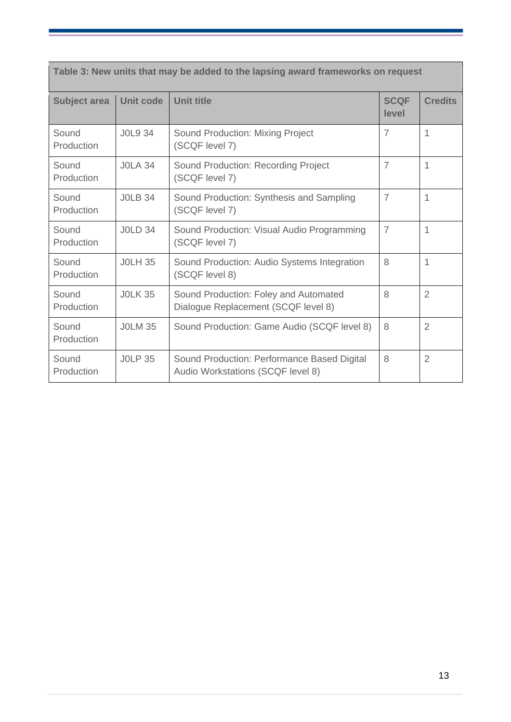| Table 3: New units that may be added to the lapsing award frameworks on request |                  |                                                                                  |                      |                |  |
|---------------------------------------------------------------------------------|------------------|----------------------------------------------------------------------------------|----------------------|----------------|--|
| <b>Subject area</b>                                                             | <b>Unit code</b> | <b>Unit title</b>                                                                | <b>SCQF</b><br>level | <b>Credits</b> |  |
| Sound<br>Production                                                             | <b>JOL9 34</b>   | Sound Production: Mixing Project<br>(SCQF level 7)                               | $\overline{7}$       | 1              |  |
| Sound<br>Production                                                             | <b>JOLA 34</b>   | Sound Production: Recording Project<br>(SCQF level 7)                            | $\overline{7}$       | 1              |  |
| Sound<br>Production                                                             | <b>JOLB 34</b>   | Sound Production: Synthesis and Sampling<br>(SCQF level 7)                       | $\overline{7}$       | 1              |  |
| Sound<br>Production                                                             | <b>JOLD 34</b>   | Sound Production: Visual Audio Programming<br>(SCQF level 7)                     | $\overline{7}$       | 1              |  |
| Sound<br>Production                                                             | <b>JOLH 35</b>   | Sound Production: Audio Systems Integration<br>(SCQF level 8)                    | 8                    | 1              |  |
| Sound<br>Production                                                             | <b>JOLK 35</b>   | Sound Production: Foley and Automated<br>Dialogue Replacement (SCQF level 8)     | 8                    | $\overline{2}$ |  |
| Sound<br>Production                                                             | <b>JOLM 35</b>   | Sound Production: Game Audio (SCQF level 8)                                      | 8                    | $\overline{2}$ |  |
| Sound<br>Production                                                             | <b>JOLP 35</b>   | Sound Production: Performance Based Digital<br>Audio Workstations (SCQF level 8) | 8                    | 2              |  |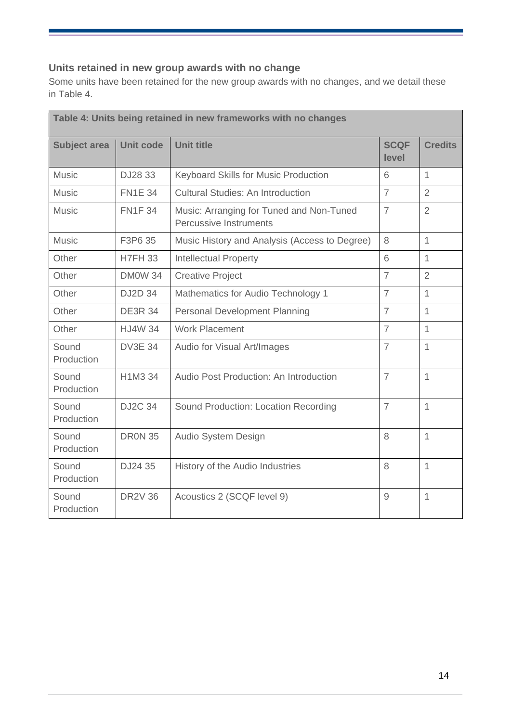### **Units retained in new group awards with no change**

Some units have been retained for the new group awards with no changes, and we detail these in Table 4.

| Table 4: Units being retained in new frameworks with no changes |                  |                                                                    |                      |                |  |
|-----------------------------------------------------------------|------------------|--------------------------------------------------------------------|----------------------|----------------|--|
| <b>Subject area</b>                                             | <b>Unit code</b> | <b>Unit title</b>                                                  | <b>SCQF</b><br>level | <b>Credits</b> |  |
| <b>Music</b>                                                    | DJ28 33          | Keyboard Skills for Music Production                               | 6                    | $\mathbf{1}$   |  |
| <b>Music</b>                                                    | <b>FN1E 34</b>   | <b>Cultural Studies: An Introduction</b>                           | $\overline{7}$       | $\overline{2}$ |  |
| <b>Music</b>                                                    | <b>FN1F34</b>    | Music: Arranging for Tuned and Non-Tuned<br>Percussive Instruments | $\overline{7}$       | $\overline{2}$ |  |
| <b>Music</b>                                                    | F3P6 35          | Music History and Analysis (Access to Degree)                      | 8                    | $\mathbf{1}$   |  |
| Other                                                           | <b>H7FH 33</b>   | <b>Intellectual Property</b>                                       | 6                    | $\mathbf{1}$   |  |
| Other                                                           | <b>DM0W 34</b>   | <b>Creative Project</b>                                            | $\overline{7}$       | $\overline{2}$ |  |
| Other                                                           | <b>DJ2D 34</b>   | Mathematics for Audio Technology 1                                 | $\overline{7}$       | 1              |  |
| Other                                                           | <b>DE3R 34</b>   | <b>Personal Development Planning</b>                               | $\overline{7}$       | $\mathbf{1}$   |  |
| Other                                                           | <b>HJ4W 34</b>   | <b>Work Placement</b>                                              | $\overline{7}$       | $\mathbf{1}$   |  |
| Sound<br>Production                                             | <b>DV3E 34</b>   | Audio for Visual Art/Images                                        | $\overline{7}$       | 1              |  |
| Sound<br>Production                                             | H1M3 34          | Audio Post Production: An Introduction                             | $\overline{7}$       | $\mathbf{1}$   |  |
| Sound<br>Production                                             | <b>DJ2C 34</b>   | Sound Production: Location Recording                               | $\overline{7}$       | 1              |  |
| Sound<br>Production                                             | <b>DR0N 35</b>   | Audio System Design                                                | 8                    | $\mathbf{1}$   |  |
| Sound<br>Production                                             | DJ24 35          | History of the Audio Industries                                    | 8                    | 1              |  |
| Sound<br>Production                                             | <b>DR2V 36</b>   | Acoustics 2 (SCQF level 9)                                         | 9                    | 1              |  |